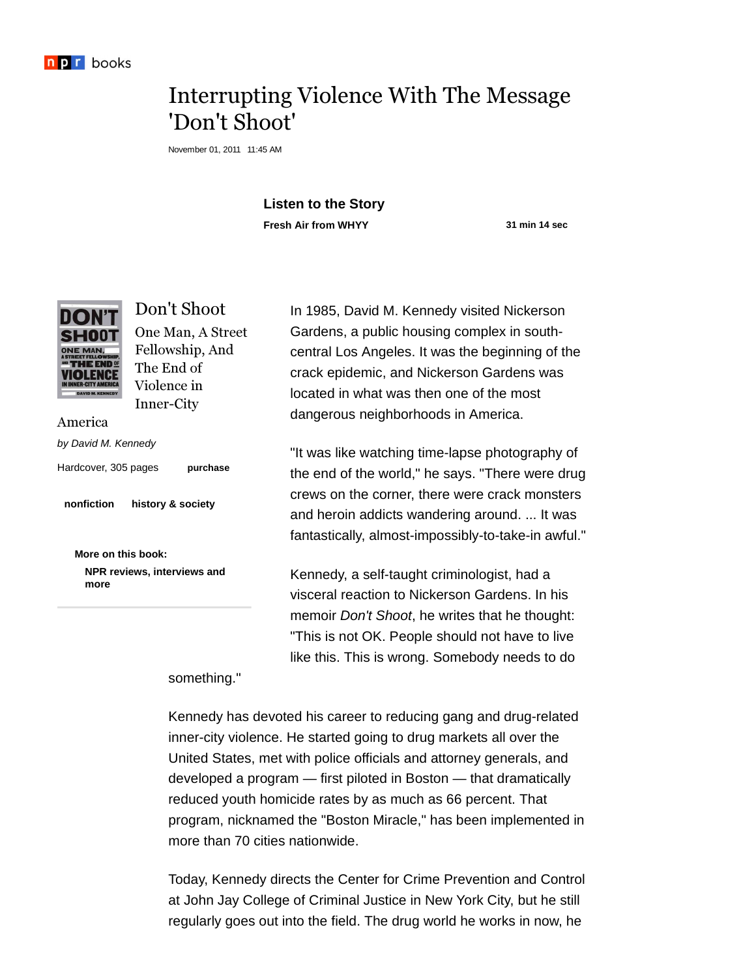

## Interrupting Violence With The Message 'Don't Shoot'

November 01, 2011 11:45 AM

## **Listen to the Story Fresh Air from WHYY 31 min 14 sec**



Don't Shoot One Man, A Street Fellowship, And The End of Violence in Inner-City

America

by David M. Kennedy

Hardcover, 305 pages

**purchase**

**nonfiction history & society**

**More on this book: NPR reviews, interviews and more**

In 1985, David M. Kennedy visited Nickerson Gardens, a public housing complex in southcentral Los Angeles. It was the beginning of the crack epidemic, and Nickerson Gardens was located in what was then one of the most dangerous neighborhoods in America.

"It was like watching time-lapse photography of the end of the world," he says. "There were drug crews on the corner, there were crack monsters and heroin addicts wandering around. ... It was fantastically, almost-impossibly-to-take-in awful."

Kennedy, a self-taught criminologist, had a visceral reaction to Nickerson Gardens. In his memoir *Don't Shoot*, he writes that he thought: "This is not OK. People should not have to live like this. This is wrong. Somebody needs to do

something."

Kennedy has devoted his career to reducing gang and drug-related inner-city violence. He started going to drug markets all over the United States, met with police officials and attorney generals, and developed a program — first piloted in Boston — that dramatically reduced youth homicide rates by as much as 66 percent. That program, nicknamed the "Boston Miracle," has been implemented in more than 70 cities nationwide.

Today, Kennedy directs the Center for Crime Prevention and Control at John Jay College of Criminal Justice in New York City, but he still regularly goes out into the field. The drug world he works in now, he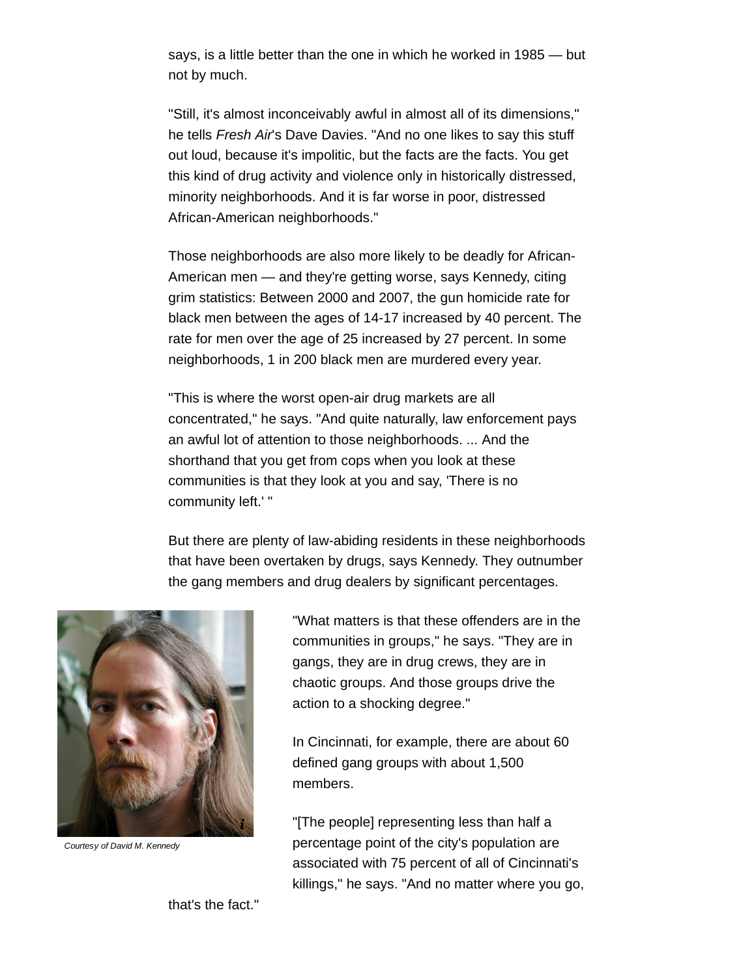says, is a little better than the one in which he worked in 1985 — but not by much.

"Still, it's almost inconceivably awful in almost all of its dimensions," he tells Fresh Air's Dave Davies. "And no one likes to say this stuff out loud, because it's impolitic, but the facts are the facts. You get this kind of drug activity and violence only in historically distressed, minority neighborhoods. And it is far worse in poor, distressed African-American neighborhoods."

Those neighborhoods are also more likely to be deadly for African-American men — and they're getting worse, says Kennedy, citing grim statistics: Between 2000 and 2007, the gun homicide rate for black men between the ages of 14-17 increased by 40 percent. The rate for men over the age of 25 increased by 27 percent. In some neighborhoods, 1 in 200 black men are murdered every year.

"This is where the worst open-air drug markets are all concentrated," he says. "And quite naturally, law enforcement pays an awful lot of attention to those neighborhoods. ... And the shorthand that you get from cops when you look at these communities is that they look at you and say, 'There is no community left.' "

But there are plenty of law-abiding residents in these neighborhoods that have been overtaken by drugs, says Kennedy. They outnumber the gang members and drug dealers by significant percentages.



Courtesy of David M. Kennedy

"What matters is that these offenders are in the communities in groups," he says. "They are in gangs, they are in drug crews, they are in chaotic groups. And those groups drive the action to a shocking degree."

In Cincinnati, for example, there are about 60 defined gang groups with about 1,500 members.

"[The people] representing less than half a percentage point of the city's population are associated with 75 percent of all of Cincinnati's killings," he says. "And no matter where you go,

that's the fact."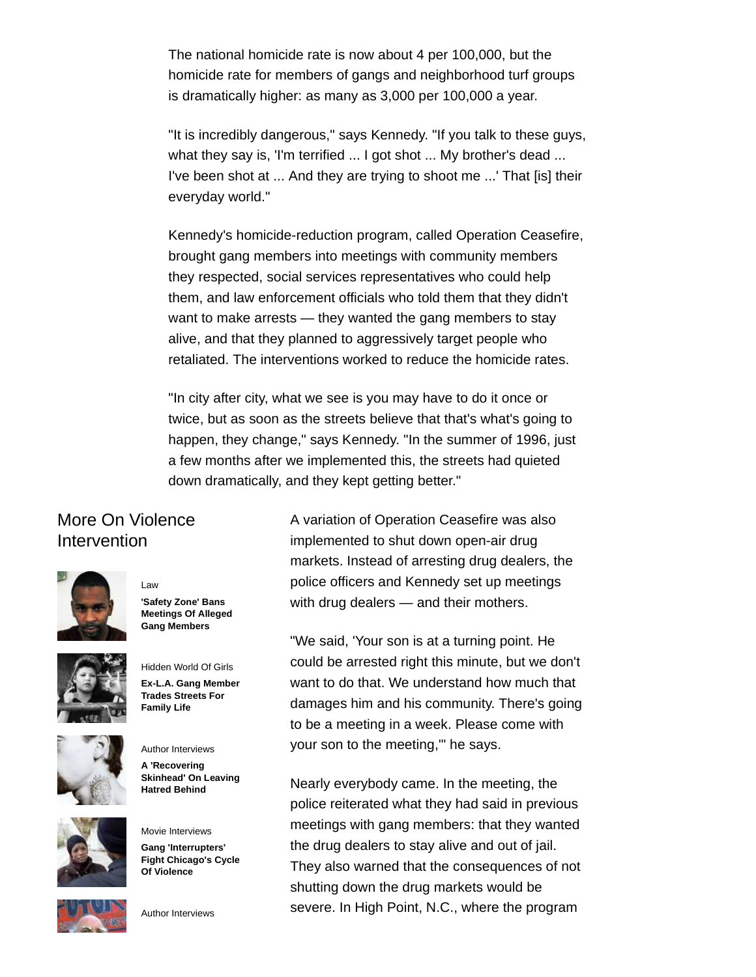The national homicide rate is now about 4 per 100,000, but the homicide rate for members of gangs and neighborhood turf groups is dramatically higher: as many as 3,000 per 100,000 a year.

"It is incredibly dangerous," says Kennedy. "If you talk to these guys, what they say is, 'I'm terrified ... I got shot ... My brother's dead ... I've been shot at ... And they are trying to shoot me ...' That [is] their everyday world."

Kennedy's homicide-reduction program, called Operation Ceasefire, brought gang members into meetings with community members they respected, social services representatives who could help them, and law enforcement officials who told them that they didn't want to make arrests — they wanted the gang members to stay alive, and that they planned to aggressively target people who retaliated. The interventions worked to reduce the homicide rates.

"In city after city, what we see is you may have to do it once or twice, but as soon as the streets believe that that's what's going to happen, they change," says Kennedy. "In the summer of 1996, just a few months after we implemented this, the streets had quieted down dramatically, and they kept getting better."

## More On Violence Intervention

Law



**'Safety Zone' Bans Meetings Of Alleged Gang Members**



Hidden World Of Girls **Ex-L.A. Gang Member Trades Streets For Family Life**





**A 'Recovering Skinhead' On Leaving Hatred Behind**

Author Interviews

Movie Interviews **Gang 'Interrupters' Fight Chicago's Cycle Of Violence**



Author Interviews

A variation of Operation Ceasefire was also implemented to shut down open-air drug markets. Instead of arresting drug dealers, the police officers and Kennedy set up meetings with drug dealers — and their mothers.

"We said, 'Your son is at a turning point. He could be arrested right this minute, but we don't want to do that. We understand how much that damages him and his community. There's going to be a meeting in a week. Please come with your son to the meeting,'" he says.

Nearly everybody came. In the meeting, the police reiterated what they had said in previous meetings with gang members: that they wanted the drug dealers to stay alive and out of jail. They also warned that the consequences of not shutting down the drug markets would be severe. In High Point, N.C., where the program